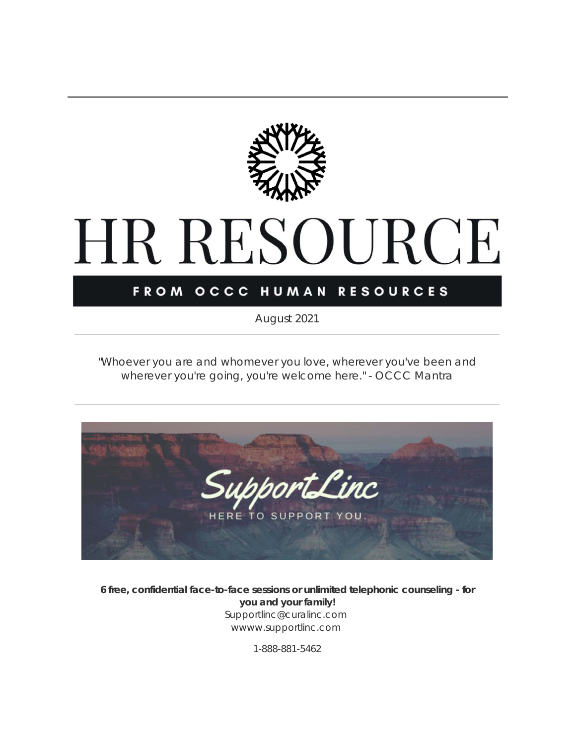

# HR RESOURCE

#### FROM OCCC HUMAN RESOURCES

*August 2021*

*"Whoever you are and whomever you love, wherever you've been and wherever you're going, you're welcome here."* - OCCC Mantra



**6 free, confidential face-to-face sessions or unlimited telephonic counseling - for you and your family!** Supportlinc@curalinc.com wwww.supportlinc.com

1-888-881-5462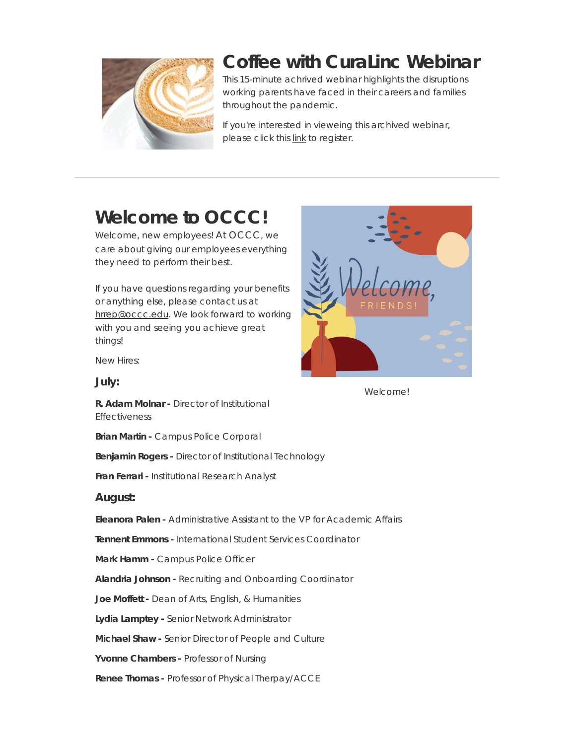

#### **Coffee with CuraLinc Webinar**

This 15-minute achrived webinar highlights the disruptions working parents have faced in their careers and families throughout the pandemic.

If you're interested in vieweing this archived webinar, please click this [link](https://t.e2ma.net/click/rm656hc/3bm47xl/vtqlnc9d) to register.

## **Welcome to OCCC!**

Welcome, new employees! At OCCC, we care about giving our employees everything they need to perform their best.

If you have questions regarding your benefits or anything else, please contact us at [hrrep@occc.edu](mailto:hrrep@occc.edu). We look forward to working with you and seeing you achieve great things!



Welcome!

New Hires:

#### **July:**

**R. Adam Molnar -** Director of Institutional Effectiveness

**Brian Martin -** Campus Police Corporal

**Benjamin Rogers -** Director of Institutional Technology

**Fran Ferrari -** Institutional Research Analyst

#### **August:**

**Eleanora Palen -** Administrative Assistant to the VP for Academic Affairs

**Tennent Emmons -** International Student Services Coordinator

**Mark Hamm -** Campus Police Officer

**Alandria Johnson -** Recruiting and Onboarding Coordinator

**Joe Moffett -** Dean of Arts, English, & Humanities

**Lydia Lamptey -** Senior Network Administrator

**Michael Shaw -** Senior Director of People and Culture

**Yvonne Chambers -** Professor of Nursing

**Renee Thomas -** Professor of Physical Therpay/ACCE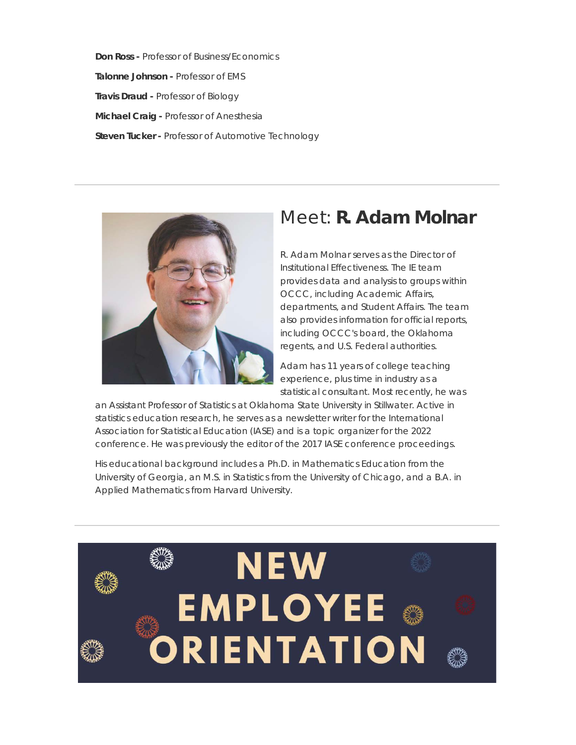**Don Ross -** Professor of Business/Economics **Talonne Johnson -** Professor of EMS **Travis Draud -** Professor of Biology **Michael Craig -** Professor of Anesthesia **Steven Tucker -** Professor of Automotive Technology



#### Meet: **R. Adam Molnar**

R. Adam Molnar serves as the Director of Institutional Effectiveness. The IE team provides data and analysis to groups within OCCC, including Academic Affairs, departments, and Student Affairs. The team also provides information for official reports, including OCCC's board, the Oklahoma regents, and U.S. Federal authorities.

Adam has 11 years of college teaching experience, plus time in industry as a statistical consultant. Most recently, he was

an Assistant Professor of Statistics at Oklahoma State University in Stillwater. Active in statistics education research, he serves as a newsletter writer for the International Association for Statistical Education (IASE) and is a topic organizer for the 2022 conference. He was previously the editor of the 2017 IASE conference proceedings.

His educational background includes a Ph.D. in Mathematics Education from the University of Georgia, an M.S. in Statistics from the University of Chicago, and a B.A. in Applied Mathematics from Harvard University.

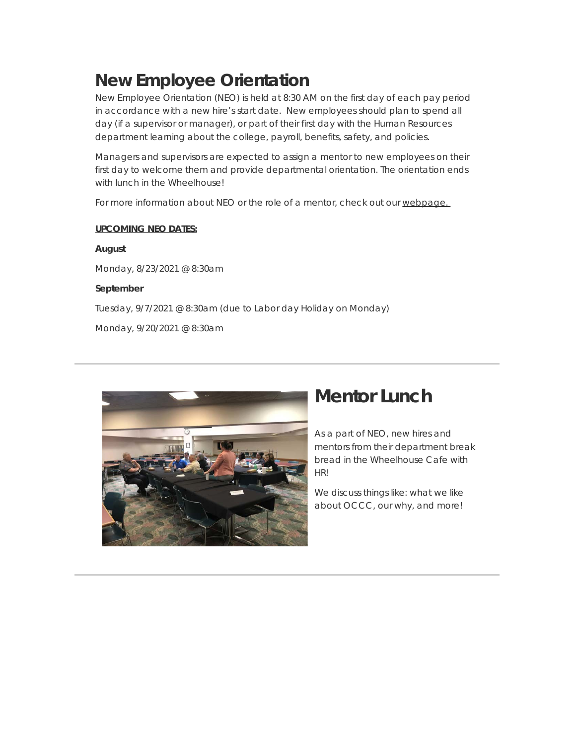#### **New Employee Orientation**

New Employee Orientation (NEO) is held at 8:30 AM on the first day of each pay period in accordance with a new hire's start date. New employees should plan to spend all day (if a supervisor or manager), or part of their first day with the Human Resources department learning about the college, payroll, benefits, safety, and policies.

Managers and supervisors are expected to assign a mentor to new employees on their first day to welcome them and provide departmental orientation. The orientation ends with lunch in the Wheelhouse!

For more information about NEO or the role of a mentor, check out our [webpage.](https://t.e2ma.net/click/rm656hc/3bm47xl/bmrlnc9d) 

#### **UPCOMING NEO DATES:**

Monday, 8/23/2021 @ 8:30am

#### **September**

**August**

Tuesday, 9/7/2021 @ 8:30am (due to Labor day Holiday on Monday)

Monday, 9/20/2021 @ 8:30am



#### **Mentor Lunch**

As a part of NEO, new hires and mentors from their department break bread in the Wheelhouse Cafe with HR!

We discuss things like: what we like about OCCC, our why, and more!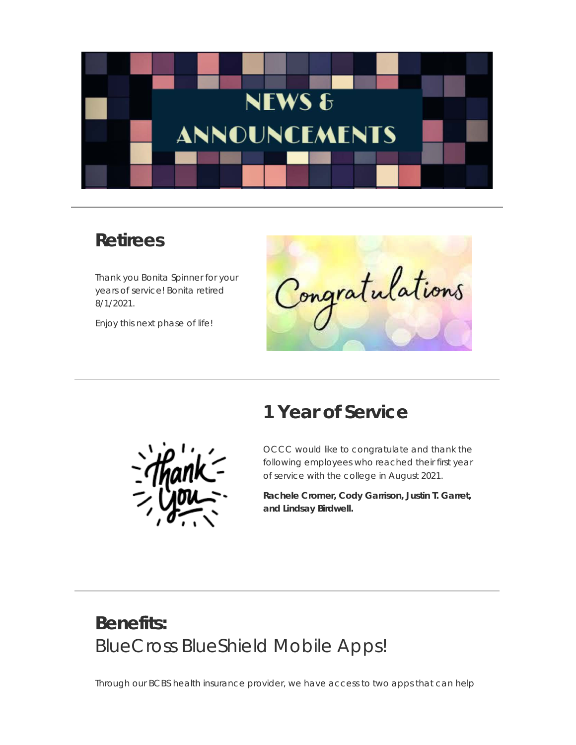

#### **Retirees**

Thank you Bonita Spinner for your years of service! Bonita retired 8/1/2021.

Enjoy this next phase of life!

Congratulations

#### **1 Year of Service**

OCCC would like to congratulate and thank the following employees who reached their first year of service with the college in August 2021.

**Rachele Cromer, Cody Garrison, Justin T. Garret, and Lindsay Birdwell.**

## **Benefits:** BlueCross BlueShield Mobile Apps!

Through our BCBS health insurance provider, we have access to two apps that can help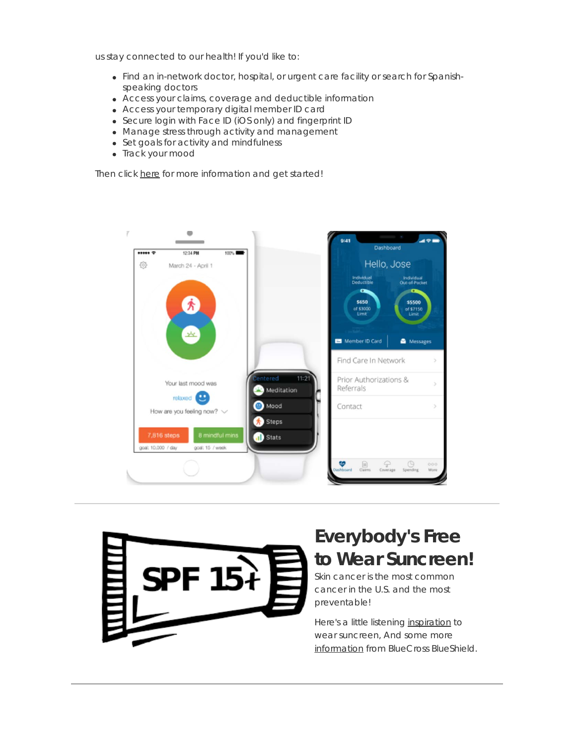us stay connected to our health! If you'd like to:

- Find an in-network doctor, hospital, or urgent care facility or search for Spanishspeaking doctors
- Access your claims, coverage and deductible information
- Access your temporary digital member ID card
- Secure login with Face ID (iOS only) and fingerprint ID
- Manage stress through activity and management
- Set goals for activity and mindfulness
- Track your mood

Then click [here](https://t.e2ma.net/click/rm656hc/3bm47xl/reslnc9d) for more information and get started!





## **Everybody's Free to Wear Suncreen!**

Skin cancer is the most common cancer in the U.S. and the most preventable!

Here's a little listening [inspiration](https://t.e2ma.net/click/rm656hc/3bm47xl/76slnc9d) to wear suncreen, And some more [information](https://t.e2ma.net/click/rm656hc/3bm47xl/nztlnc9d) from BlueCross BlueShield.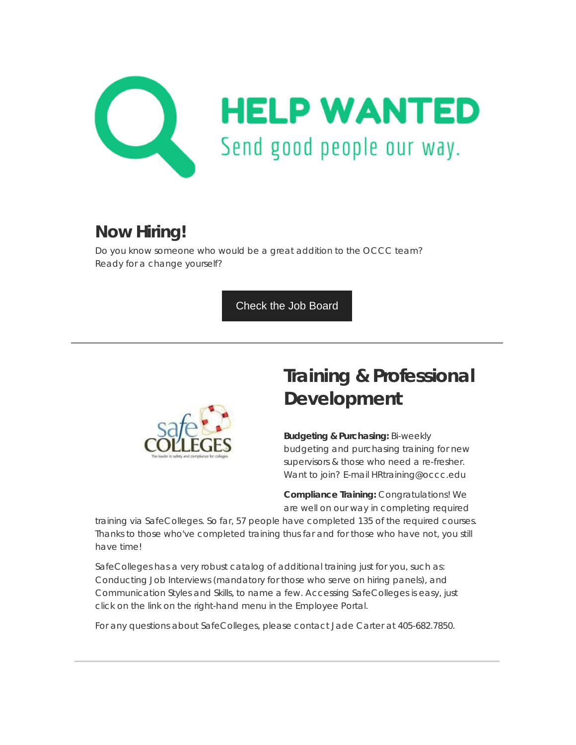

#### **Now Hiring!**

Do you know someone who would be a great addition to the OCCC team? Ready for a change yourself?

[Check the Job Board](https://t.e2ma.net/click/rm656hc/3bm47xl/3rulnc9d)



# **Training & Professional Development**

**Budgeting & Purchasing:** Bi-weekly budgeting and purchasing training for new supervisors & those who need a re-fresher. Want to join? E-mail HRtraining@occc.edu

**Compliance Training:** Congratulations! We are well on our way in completing required

training via SafeColleges. So far, 57 people have completed 135 of the required courses. Thanks to those who've completed training thus far and for those who have not, you still have time!

SafeColleges has a very robust catalog of additional training just for you, such as: Conducting Job Interviews (mandatory for those who serve on hiring panels), and Communication Styles and Skills, to name a few. Accessing SafeColleges is easy, just click on the link on the right-hand menu in the Employee Portal.

For any questions about SafeColleges, please contact Jade Carter at 405-682.7850.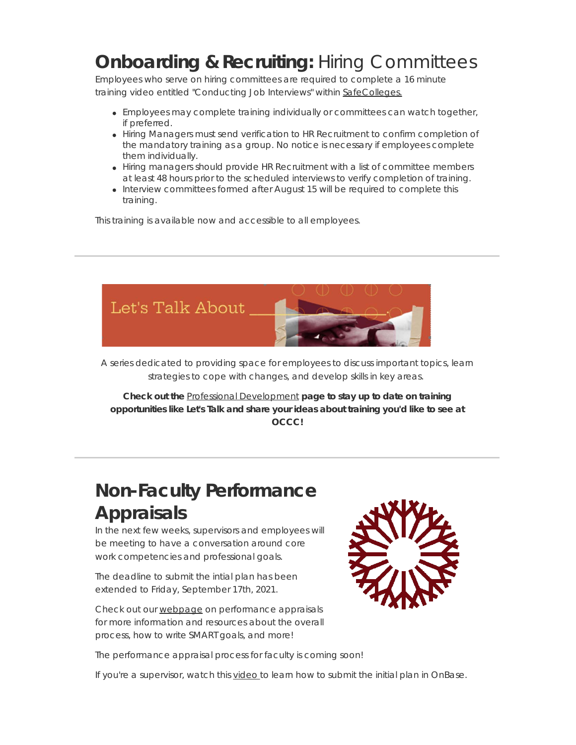## **Onboarding & Recruiting:** Hiring Committees

Employees who serve on hiring committees are required to complete a 16 minute training video entitled "Conducting Job Interviews" within [SafeColleges.](https://t.e2ma.net/click/rm656hc/3bm47xl/jkvlnc9d)

- Employees may complete training individually or committees can watch together, if preferred.
- Hiring Managers must send verification to HR Recruitment to confirm completion of the mandatory training as a group. No notice is necessary if employees complete them individually.
- Hiring managers should provide HR Recruitment with a list of committee members at least 48 hours prior to the scheduled interviews to verify completion of training.
- Interview committees formed after August 15 will be required to complete this training.

This training is available now and accessible to all employees.



A series dedicated to providing space for employees to discuss important topics, learn strategies to cope with changes, and develop skills in key areas.

**Check out the** Professional [Development](https://t.e2ma.net/click/rm656hc/3bm47xl/zcwlnc9d) **page to stay up to date on training opportunities like Let's Talk and share your ideas about training you'd like to see at OCCC!**

## **Non-Faculty Performance Appraisals**

In the next few weeks, supervisors and employees will be meeting to have a conversation around core work competencies and professional goals.

The deadline to submit the intial plan has been extended to Friday, September 17th, 2021.

Check out our [webpage](https://t.e2ma.net/click/rm656hc/3bm47xl/f5wlnc9d) on performance appraisals for more information and resources about the overall process, how to write SMART goals, and more!



The performance appraisal process for faculty is coming soon!

If you're a supervisor, watch this [video](https://t.e2ma.net/click/rm656hc/3bm47xl/vxxlnc9d) to learn how to submit the initial plan in OnBase.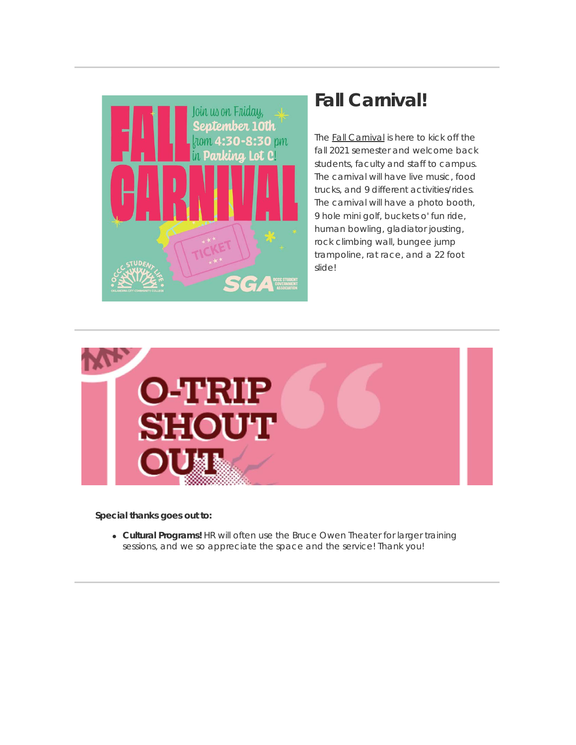

#### **Fall Carnival!**

The **Fall [Carnival](https://t.e2ma.net/click/rm656hc/3bm47xl/bqylnc9d)** is here to kick off the fall 2021 semester and welcome back students, faculty and staff to campus. The carnival will have live music, food trucks, and 9 different activities/rides. The carnival will have a photo booth, 9 hole mini golf, buckets o' fun ride, human bowling, gladiator jousting, rock climbing wall, bungee jump trampoline, rat race, and a 22 foot slide!



**Special thanks goes out to:**

**Cultural Programs!** HR will often use the Bruce Owen Theater for larger training sessions, and we so appreciate the space and the service! Thank you!